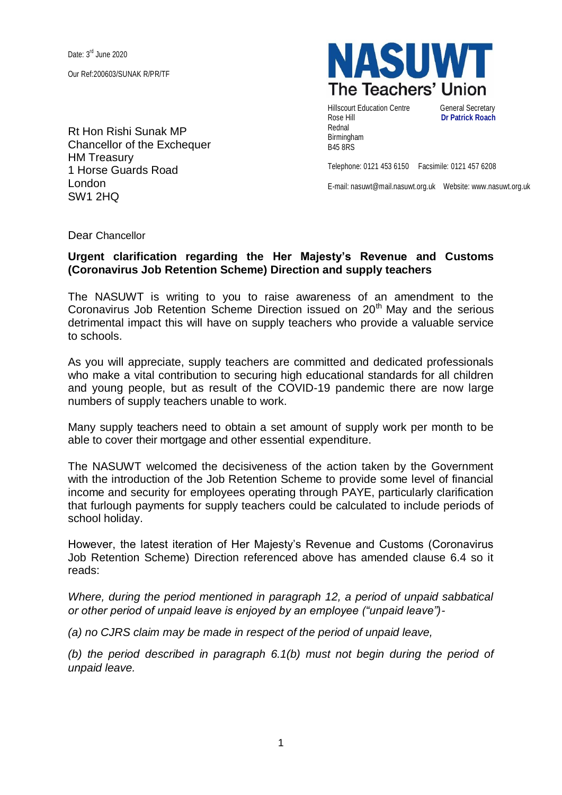Date: 3<sup>rd</sup> June 2020 Our Ref:200603/SUNAK R/PR/TF

Rt Hon Rishi Sunak MP Chancellor of the Exchequer HM Treasury 1 Horse Guards Road London SW1 2HQ



Hillscourt Education Centre General Secretary Rose Hill **Dr Patrick Roach** Rednal Birmingham B45 8RS

Telephone: 0121 453 6150 Facsimile: 0121 457 6208

E-mail: nasuwt@mail.nasuwt.org.uk Website: www.nasuwt.org.uk

Dear Chancellor

## **Urgent clarification regarding the Her Majesty's Revenue and Customs (Coronavirus Job Retention Scheme) Direction and supply teachers**

The NASUWT is writing to you to raise awareness of an amendment to the Coronavirus Job Retention Scheme Direction issued on  $20<sup>th</sup>$  May and the serious detrimental impact this will have on supply teachers who provide a valuable service to schools.

As you will appreciate, supply teachers are committed and dedicated professionals who make a vital contribution to securing high educational standards for all children and young people, but as result of the COVID-19 pandemic there are now large numbers of supply teachers unable to work.

Many supply teachers need to obtain a set amount of supply work per month to be able to cover their mortgage and other essential expenditure.

The NASUWT welcomed the decisiveness of the action taken by the Government with the introduction of the Job Retention Scheme to provide some level of financial income and security for employees operating through PAYE, particularly clarification that furlough payments for supply teachers could be calculated to include periods of school holiday.

However, the latest iteration of Her Majesty's Revenue and Customs (Coronavirus Job Retention Scheme) Direction referenced above has amended clause 6.4 so it reads:

*Where, during the period mentioned in paragraph 12, a period of unpaid sabbatical or other period of unpaid leave is enjoyed by an employee ("unpaid leave")-*

*(a) no CJRS claim may be made in respect of the period of unpaid leave,*

*(b) the period described in paragraph 6.1(b) must not begin during the period of unpaid leave.*